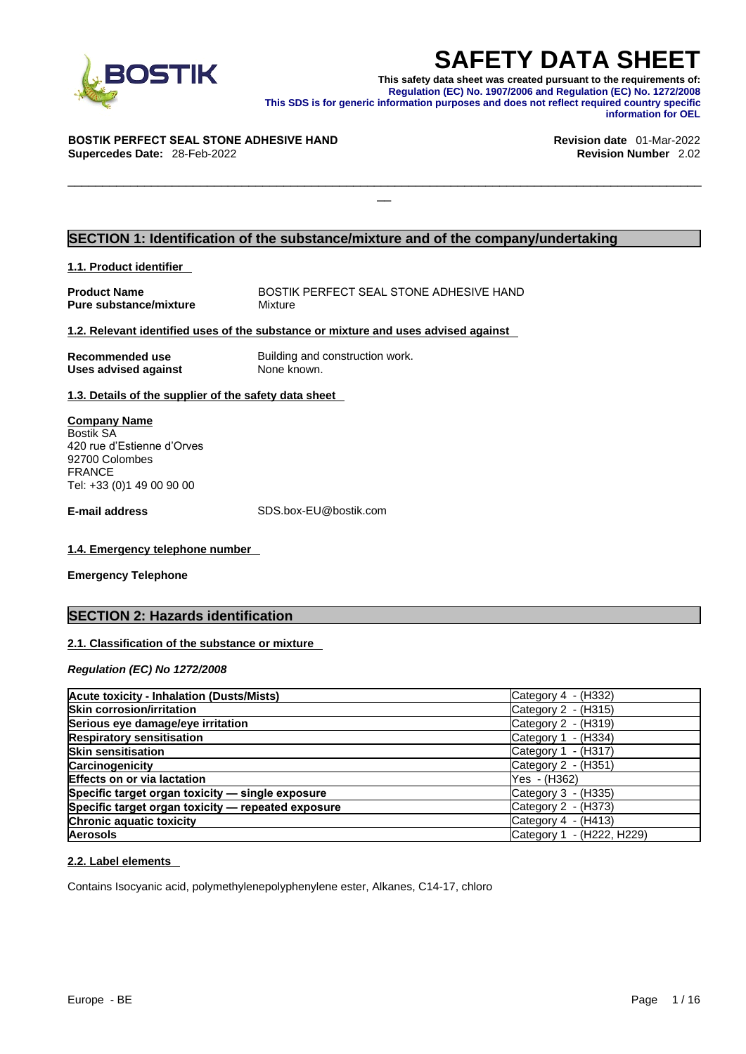

**SAFETY DATA SHEET**<br>This safety data sheet was created pursuant to the requirements of:<br>Regulation (EC) No. 1907/2006 and Regulation (EC) No. 1272/2008<br>information purposes and does not reflect required country specific<br>in **This safety data sheet was created pursuant to the requirements of: Regulation (EC) No. 1907/2006 and Regulation (EC) No. 1272/2008 This SDS is for generic information purposes and does not reflect required country specific information for OEL** 

 $\Box$ 

#### **BOSTIK PERFECT SEAL STONE ADHESIVE HAND Revision date** 01-Mar-2022 **Supercedes Date:** 28-Feb-2022 **Revision Number** 2.02

#### **SECTION 1: Identification of the substance/mixture and of the company/undertaking**

#### **1.1. Product identifier**

| <b>Product Name</b>           | BOSTIK PERFECT SEAL STONE ADHESIVE HAND |
|-------------------------------|-----------------------------------------|
| <b>Pure substance/mixture</b> | Mixture                                 |

#### **1.2. Relevant identified uses of the substance or mixture and uses advised against**

| Recommended use      | Building and construction work. |
|----------------------|---------------------------------|
| Uses advised against | None known.                     |

**1.3. Details of the supplier of the safety data sheet** 

| <b>Company Name</b>        |  |  |
|----------------------------|--|--|
| <b>Bostik SA</b>           |  |  |
| 420 rue d'Estienne d'Orves |  |  |
| 92700 Colombes             |  |  |
| <b>FRANCE</b>              |  |  |
| Tel: +33 (0)1 49 00 90 00  |  |  |
|                            |  |  |
|                            |  |  |

**E-mail address** SDS.box-EU@bostik.com

#### **1.4. Emergency telephone number**

**Emergency Telephone** 

### **SECTION 2: Hazards identification**

#### **2.1. Classification of the substance or mixture**

*Regulation (EC) No 1272/2008* 

| <b>Acute toxicity - Inhalation (Dusts/Mists)</b>   | Category 4 - (H332)       |
|----------------------------------------------------|---------------------------|
| <b>Skin corrosion/irritation</b>                   | Category 2 - (H315)       |
| Serious eye damage/eye irritation                  | Category 2 - (H319)       |
| <b>Respiratory sensitisation</b>                   | Category 1 - (H334)       |
| <b>Skin sensitisation</b>                          | Category 1 - (H317)       |
| <b>Carcinogenicity</b>                             | Category 2 - (H351)       |
| <b>Effects on or via lactation</b>                 | Yes - (H362)              |
| Specific target organ toxicity - single exposure   | Category 3 - (H335)       |
| Specific target organ toxicity - repeated exposure | Category 2 - (H373)       |
| <b>Chronic aquatic toxicity</b>                    | Category $4 - (H413)$     |
| <b>Aerosols</b>                                    | Category 1 - (H222, H229) |

#### **2.2. Label elements**

Contains Isocyanic acid, polymethylenepolyphenylene ester, Alkanes, C14-17, chloro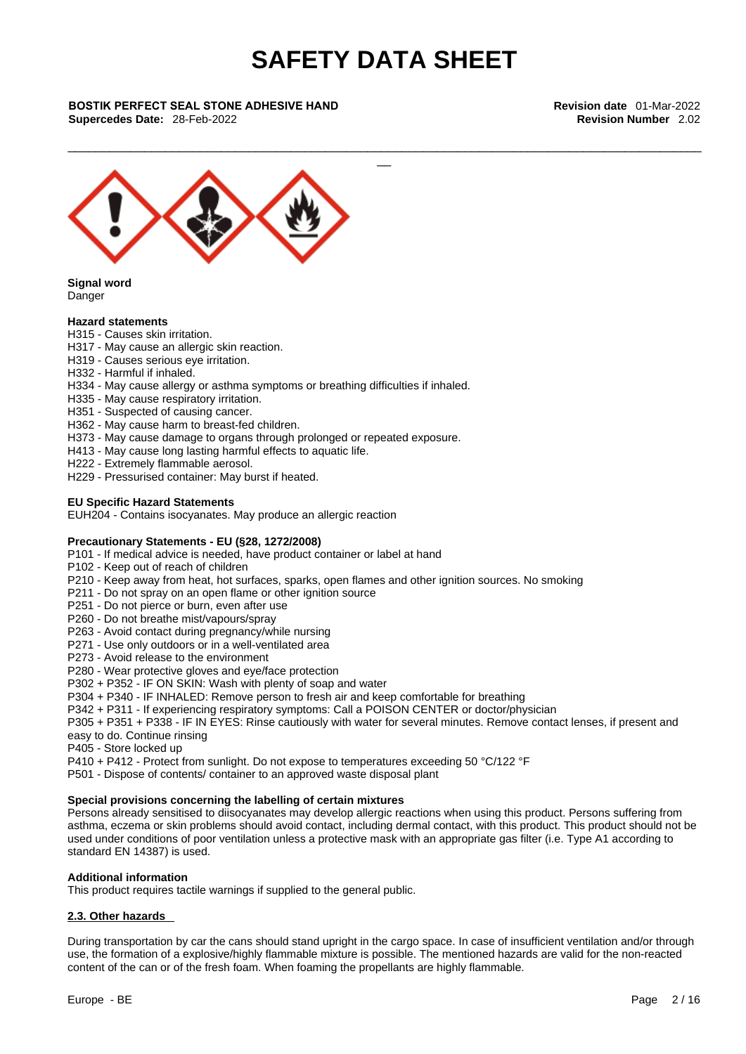\_\_\_\_\_\_\_\_\_\_\_\_\_\_\_\_\_\_\_\_\_\_\_\_\_\_\_\_\_\_\_\_\_\_\_\_\_\_\_\_\_\_\_\_\_\_\_\_\_\_\_\_\_\_\_\_\_\_\_\_\_\_\_\_\_\_\_\_\_\_\_\_\_\_\_\_\_\_\_\_\_\_\_\_\_\_\_\_\_\_\_

 $\frac{1}{2}$ 

**BOSTIK PERFECT SEAL STONE ADHESIVE HAND Revision date** 01-Mar-2022 **Supercedes Date: 28-Feb-2022** 



**Signal word Danger** 

#### **Hazard statements**

- H315 Causes skin irritation.
- H317 May cause an allergic skin reaction.
- H319 Causes serious eye irritation.
- H332 Harmful if inhaled.
- H334 May cause allergy or asthma symptoms or breathing difficulties if inhaled.
- H335 May cause respiratory irritation.
- H351 Suspected of causing cancer.
- H362 May cause harm to breast-fed children.
- H373 May cause damage to organs through prolonged or repeated exposure.
- H413 May cause long lasting harmful effects to aquatic life.
- H222 Extremely flammable aerosol.
- H229 Pressurised container: May burst if heated.

#### **EU Specific Hazard Statements**

EUH204 - Contains isocyanates. May produce an allergic reaction

#### **Precautionary Statements - EU (§28, 1272/2008)**

- P101 If medical advice is needed, have product container or label at hand
- P102 Keep out of reach of children
- P210 Keep away from heat, hot surfaces, sparks, open flames and other ignition sources. No smoking
- P211 Do not spray on an open flame or other ignition source
- P251 Do not pierce or burn, even after use
- P260 Do not breathe mist/vapours/spray
- P263 Avoid contact during pregnancy/while nursing
- P271 Use only outdoors or in a well-ventilated area
- P273 Avoid release to the environment
- P280 Wear protective gloves and eye/face protection
- P302 + P352 IF ON SKIN: Wash with plenty of soap and water
- P304 + P340 IF INHALED: Remove person to fresh air and keep comfortable for breathing
- P342 + P311 If experiencing respiratory symptoms: Call a POISON CENTER or doctor/physician

P305 + P351 + P338 - IF IN EYES: Rinse cautiously with water for several minutes. Remove contact lenses, if present and easy to do. Continue rinsing

- P405 Store locked up
- P410 + P412 Protect from sunlight. Do not expose to temperatures exceeding 50 °C/122 °F
- P501 Dispose of contents/ container to an approved waste disposal plant

#### **Special provisions concerning the labelling of certain mixtures**

Persons already sensitised to diisocyanates may develop allergic reactions when using this product. Persons suffering from asthma, eczema or skin problems should avoid contact, including dermal contact, with this product. This product should not be used under conditions of poor ventilation unless a protective mask with an appropriate gas filter (i.e. Type A1 according to standard EN 14387) is used.

#### **Additional information**

This product requires tactile warnings if supplied to the general public.

#### **2.3. Other hazards**

During transportation by car the cans should stand upright in the cargo space. In case of insufficient ventilation and/or through use, the formation of a explosive/highly flammable mixture is possible. The mentioned hazards are valid for the non-reacted content of the can or of the fresh foam. When foaming the propellants are highly flammable.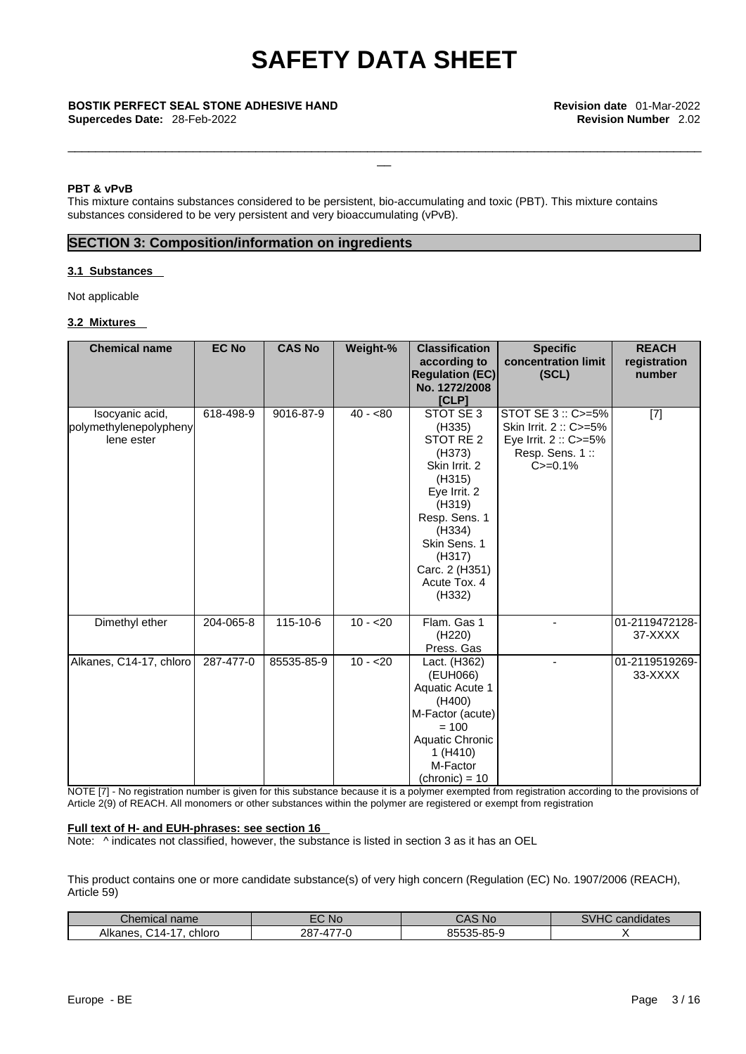\_\_\_\_\_\_\_\_\_\_\_\_\_\_\_\_\_\_\_\_\_\_\_\_\_\_\_\_\_\_\_\_\_\_\_\_\_\_\_\_\_\_\_\_\_\_\_\_\_\_\_\_\_\_\_\_\_\_\_\_\_\_\_\_\_\_\_\_\_\_\_\_\_\_\_\_\_\_\_\_\_\_\_\_\_\_\_\_\_\_\_

 $\frac{1}{2}$ 

### **BOSTIK PERFECT SEAL STONE ADHESIVE HAND Revision date** 01-Mar-2022

**Supercedes Date: 28-Feb-2022** 

#### **PBT & vPvB**

This mixture contains substances considered to be persistent, bio-accumulating and toxic (PBT). This mixture contains substances considered to be very persistent and very bioaccumulating (vPvB).

#### **SECTION 3: Composition/information on ingredients**

#### **3.1 Substances**

Not applicable

#### **3.2 Mixtures**

| <b>Chemical name</b>    | <b>EC No</b> | <b>CAS No</b> | Weight-%  | <b>Classification</b>    | <b>Specific</b>       | <b>REACH</b>   |
|-------------------------|--------------|---------------|-----------|--------------------------|-----------------------|----------------|
|                         |              |               |           | according to             | concentration limit   | registration   |
|                         |              |               |           | <b>Regulation (EC)</b>   | (SCL)                 | number         |
|                         |              |               |           | No. 1272/2008            |                       |                |
|                         |              |               |           | [CLP]                    |                       |                |
| Isocyanic acid,         | 618-498-9    | 9016-87-9     | $40 - 80$ | STOT SE 3                | STOT SE 3 :: C>=5%    | $[7]$          |
| polymethylenepolypheny  |              |               |           | (H335)                   | Skin Irrit. 2: C>=5%  |                |
| lene ester              |              |               |           | STOT RE 2                | Eye Irrit. 2 :: C>=5% |                |
|                         |              |               |           | (H373)                   | Resp. Sens. 1::       |                |
|                         |              |               |           | Skin Irrit. 2            | $C = 0.1%$            |                |
|                         |              |               |           | (H315)                   |                       |                |
|                         |              |               |           | Eye Irrit. 2             |                       |                |
|                         |              |               |           | (H319)                   |                       |                |
|                         |              |               |           | Resp. Sens. 1            |                       |                |
|                         |              |               |           | (H334)                   |                       |                |
|                         |              |               |           | Skin Sens. 1             |                       |                |
|                         |              |               |           | (H317)<br>Carc. 2 (H351) |                       |                |
|                         |              |               |           | Acute Tox, 4             |                       |                |
|                         |              |               |           | (H332)                   |                       |                |
|                         |              |               |           |                          |                       |                |
| Dimethyl ether          | 204-065-8    | 115-10-6      | $10 - 20$ | Flam. Gas 1              |                       | 01-2119472128- |
|                         |              |               |           | (H220)                   |                       | 37-XXXX        |
|                         |              |               |           | Press. Gas               |                       |                |
| Alkanes, C14-17, chloro | 287-477-0    | 85535-85-9    | $10 - 20$ | Lact. (H362)             | ٠                     | 01-2119519269- |
|                         |              |               |           | (EUH066)                 |                       | 33-XXXX        |
|                         |              |               |           | Aquatic Acute 1          |                       |                |
|                         |              |               |           | (H400)                   |                       |                |
|                         |              |               |           | M-Factor (acute)         |                       |                |
|                         |              |               |           | $= 100$                  |                       |                |
|                         |              |               |           | Aquatic Chronic          |                       |                |
|                         |              |               |           | 1 (H410)                 |                       |                |
|                         |              |               |           | M-Factor                 |                       |                |
|                         |              |               |           | $(chronic) = 10$         |                       |                |

NOTE [7] - No registration number is given for this substance because it is a polymer exempted from registration according to the provisions of Article 2(9) of REACH. All monomers or other substances within the polymer are registered or exempt from registration

#### **Full text of H- and EUH-phrases: see section 16**

Note: ^ indicates not classified, however, the substance is listed in section 3 as it has an OEL

This product contains one or more candidate substance(s) of very high concern (Regulation (EC) No. 1907/2006 (REACH), Article 59)

| $\mathcal{L}$ hemical $r$<br>name              | -^<br><b>NG</b>   | <b>Nc</b><br>$\Lambda$<br>. | $\mathbf{u}$<br>candidates<br>$\sim$ |
|------------------------------------------------|-------------------|-----------------------------|--------------------------------------|
| Alkanes.<br>chloro<br>$\overline{\phantom{a}}$ | 00.<br>$601 - 41$ | 5-85-9<br>OEEDE             |                                      |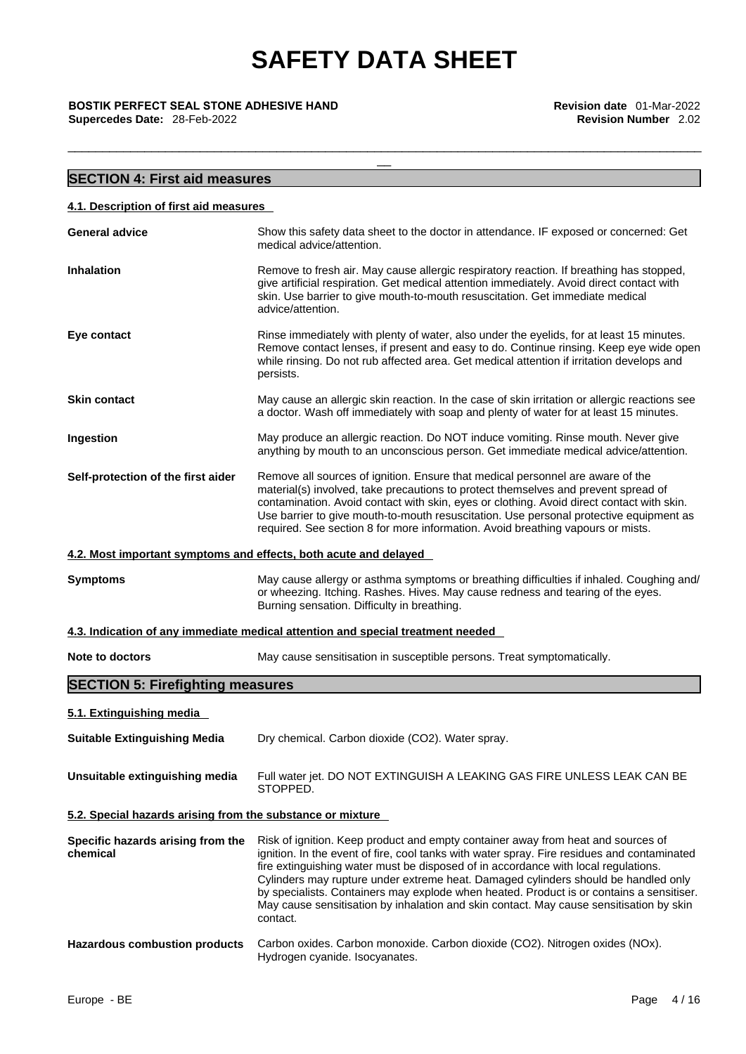\_\_\_\_\_\_\_\_\_\_\_\_\_\_\_\_\_\_\_\_\_\_\_\_\_\_\_\_\_\_\_\_\_\_\_\_\_\_\_\_\_\_\_\_\_\_\_\_\_\_\_\_\_\_\_\_\_\_\_\_\_\_\_\_\_\_\_\_\_\_\_\_\_\_\_\_\_\_\_\_\_\_\_\_\_\_\_\_\_\_\_

**BOSTIK PERFECT SEAL STONE ADHESIVE HAND**<br>**Supercedes Date:** 28-Feb-2022<br>**Revision Number** 2.02 **Supercedes Date: 28-Feb-2022** 

| <b>SECTION 4: First aid measures</b>                       |                                                                                                                                                                                                                                                                                                                                                                                                                                                                                                                                                                |
|------------------------------------------------------------|----------------------------------------------------------------------------------------------------------------------------------------------------------------------------------------------------------------------------------------------------------------------------------------------------------------------------------------------------------------------------------------------------------------------------------------------------------------------------------------------------------------------------------------------------------------|
| 4.1. Description of first aid measures                     |                                                                                                                                                                                                                                                                                                                                                                                                                                                                                                                                                                |
| General advice                                             | Show this safety data sheet to the doctor in attendance. IF exposed or concerned: Get<br>medical advice/attention.                                                                                                                                                                                                                                                                                                                                                                                                                                             |
| Inhalation                                                 | Remove to fresh air. May cause allergic respiratory reaction. If breathing has stopped,<br>give artificial respiration. Get medical attention immediately. Avoid direct contact with<br>skin. Use barrier to give mouth-to-mouth resuscitation. Get immediate medical<br>advice/attention.                                                                                                                                                                                                                                                                     |
| Eye contact                                                | Rinse immediately with plenty of water, also under the eyelids, for at least 15 minutes.<br>Remove contact lenses, if present and easy to do. Continue rinsing. Keep eye wide open<br>while rinsing. Do not rub affected area. Get medical attention if irritation develops and<br>persists.                                                                                                                                                                                                                                                                   |
| <b>Skin contact</b>                                        | May cause an allergic skin reaction. In the case of skin irritation or allergic reactions see<br>a doctor. Wash off immediately with soap and plenty of water for at least 15 minutes.                                                                                                                                                                                                                                                                                                                                                                         |
| Ingestion                                                  | May produce an allergic reaction. Do NOT induce vomiting. Rinse mouth. Never give<br>anything by mouth to an unconscious person. Get immediate medical advice/attention.                                                                                                                                                                                                                                                                                                                                                                                       |
| Self-protection of the first aider                         | Remove all sources of ignition. Ensure that medical personnel are aware of the<br>material(s) involved, take precautions to protect themselves and prevent spread of<br>contamination. Avoid contact with skin, eyes or clothing. Avoid direct contact with skin.<br>Use barrier to give mouth-to-mouth resuscitation. Use personal protective equipment as<br>required. See section 8 for more information. Avoid breathing vapours or mists.                                                                                                                 |
|                                                            | 4.2. Most important symptoms and effects, both acute and delayed                                                                                                                                                                                                                                                                                                                                                                                                                                                                                               |
| <b>Symptoms</b>                                            | May cause allergy or asthma symptoms or breathing difficulties if inhaled. Coughing and/<br>or wheezing. Itching. Rashes. Hives. May cause redness and tearing of the eyes.<br>Burning sensation. Difficulty in breathing.                                                                                                                                                                                                                                                                                                                                     |
|                                                            | 4.3. Indication of any immediate medical attention and special treatment needed                                                                                                                                                                                                                                                                                                                                                                                                                                                                                |
| <b>Note to doctors</b>                                     | May cause sensitisation in susceptible persons. Treat symptomatically.                                                                                                                                                                                                                                                                                                                                                                                                                                                                                         |
| <b>SECTION 5: Firefighting measures</b>                    |                                                                                                                                                                                                                                                                                                                                                                                                                                                                                                                                                                |
| <u>5.1. Extinguishing media</u>                            |                                                                                                                                                                                                                                                                                                                                                                                                                                                                                                                                                                |
| <b>Suitable Extinguishing Media</b>                        | Dry chemical. Carbon dioxide (CO2). Water spray.                                                                                                                                                                                                                                                                                                                                                                                                                                                                                                               |
| Unsuitable extinguishing media                             | Full water jet. DO NOT EXTINGUISH A LEAKING GAS FIRE UNLESS LEAK CAN BE<br>STOPPED.                                                                                                                                                                                                                                                                                                                                                                                                                                                                            |
| 5.2. Special hazards arising from the substance or mixture |                                                                                                                                                                                                                                                                                                                                                                                                                                                                                                                                                                |
| Specific hazards arising from the<br>chemical              | Risk of ignition. Keep product and empty container away from heat and sources of<br>ignition. In the event of fire, cool tanks with water spray. Fire residues and contaminated<br>fire extinguishing water must be disposed of in accordance with local regulations.<br>Cylinders may rupture under extreme heat. Damaged cylinders should be handled only<br>by specialists. Containers may explode when heated. Product is or contains a sensitiser.<br>May cause sensitisation by inhalation and skin contact. May cause sensitisation by skin<br>contact. |
| <b>Hazardous combustion products</b>                       | Carbon oxides. Carbon monoxide. Carbon dioxide (CO2). Nitrogen oxides (NOx).<br>Hydrogen cyanide. Isocyanates.                                                                                                                                                                                                                                                                                                                                                                                                                                                 |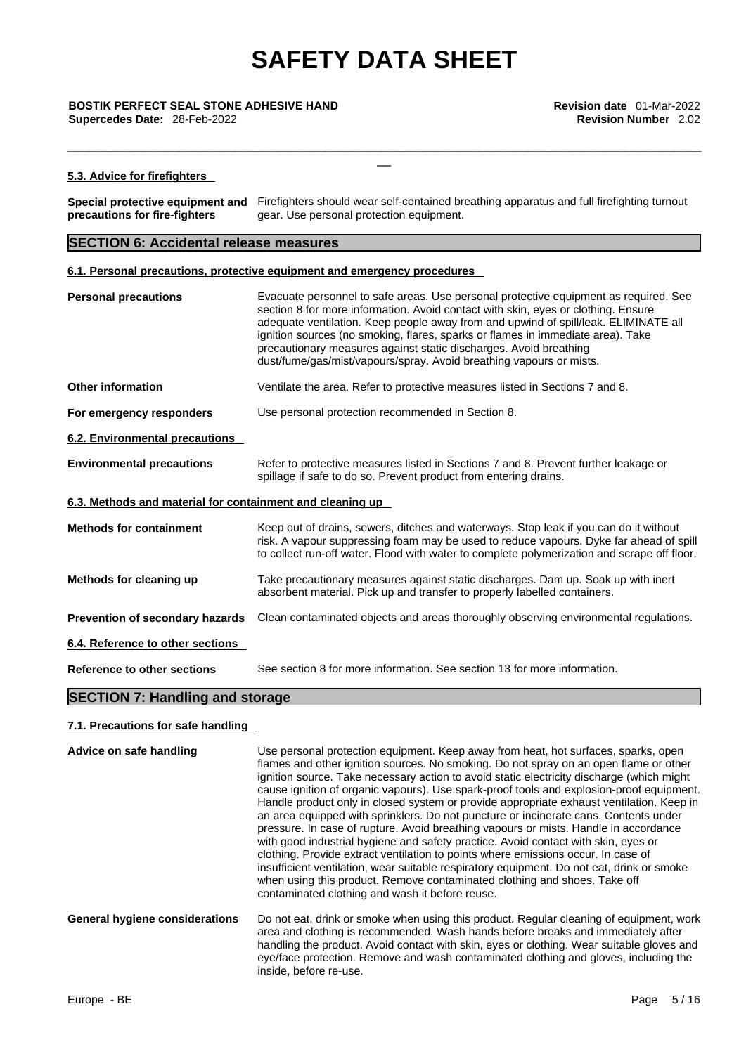**BOSTIK PERFECT SEAL STONE ADHESIVE HAND**<br>**Supercedes Date:** 28-Feb-2022<br>**Revision Number** 2.02 **Supercedes Date: 28-Feb-2022** 

#### **5.3. Advice for firefighters**

**Special protective equipment and** Firefighters should wear self-contained breathing apparatus and full firefighting turnout **precautions for fire-fighters**  gear. Use personal protection equipment.

\_\_\_\_\_\_\_\_\_\_\_\_\_\_\_\_\_\_\_\_\_\_\_\_\_\_\_\_\_\_\_\_\_\_\_\_\_\_\_\_\_\_\_\_\_\_\_\_\_\_\_\_\_\_\_\_\_\_\_\_\_\_\_\_\_\_\_\_\_\_\_\_\_\_\_\_\_\_\_\_\_\_\_\_\_\_\_\_\_\_\_

 $\frac{1}{2}$ 

#### **SECTION 6: Accidental release measures**

#### **6.1. Personal precautions, protective equipment and emergency procedures**

| <b>Personal precautions</b>                               | Evacuate personnel to safe areas. Use personal protective equipment as required. See<br>section 8 for more information. Avoid contact with skin, eyes or clothing. Ensure<br>adequate ventilation. Keep people away from and upwind of spill/leak. ELIMINATE all<br>ignition sources (no smoking, flares, sparks or flames in immediate area). Take<br>precautionary measures against static discharges. Avoid breathing<br>dust/fume/gas/mist/vapours/spray. Avoid breathing vapours or mists. |  |  |  |
|-----------------------------------------------------------|-------------------------------------------------------------------------------------------------------------------------------------------------------------------------------------------------------------------------------------------------------------------------------------------------------------------------------------------------------------------------------------------------------------------------------------------------------------------------------------------------|--|--|--|
| <b>Other information</b>                                  | Ventilate the area. Refer to protective measures listed in Sections 7 and 8.                                                                                                                                                                                                                                                                                                                                                                                                                    |  |  |  |
| For emergency responders                                  | Use personal protection recommended in Section 8.                                                                                                                                                                                                                                                                                                                                                                                                                                               |  |  |  |
| 6.2. Environmental precautions                            |                                                                                                                                                                                                                                                                                                                                                                                                                                                                                                 |  |  |  |
| <b>Environmental precautions</b>                          | Refer to protective measures listed in Sections 7 and 8. Prevent further leakage or<br>spillage if safe to do so. Prevent product from entering drains.                                                                                                                                                                                                                                                                                                                                         |  |  |  |
| 6.3. Methods and material for containment and cleaning up |                                                                                                                                                                                                                                                                                                                                                                                                                                                                                                 |  |  |  |
| <b>Methods for containment</b>                            | Keep out of drains, sewers, ditches and waterways. Stop leak if you can do it without<br>risk. A vapour suppressing foam may be used to reduce vapours. Dyke far ahead of spill<br>to collect run-off water. Flood with water to complete polymerization and scrape off floor.                                                                                                                                                                                                                  |  |  |  |
| Methods for cleaning up                                   | Take precautionary measures against static discharges. Dam up. Soak up with inert<br>absorbent material. Pick up and transfer to properly labelled containers.                                                                                                                                                                                                                                                                                                                                  |  |  |  |
| Prevention of secondary hazards                           | Clean contaminated objects and areas thoroughly observing environmental regulations.                                                                                                                                                                                                                                                                                                                                                                                                            |  |  |  |
| 6.4. Reference to other sections                          |                                                                                                                                                                                                                                                                                                                                                                                                                                                                                                 |  |  |  |
| Reference to other sections                               | See section 8 for more information. See section 13 for more information.                                                                                                                                                                                                                                                                                                                                                                                                                        |  |  |  |

### **SECTION 7: Handling and storage**

#### **7.1. Precautions for safe handling**

| Advice on safe handling        | Use personal protection equipment. Keep away from heat, hot surfaces, sparks, open<br>flames and other ignition sources. No smoking. Do not spray on an open flame or other<br>ignition source. Take necessary action to avoid static electricity discharge (which might<br>cause ignition of organic vapours). Use spark-proof tools and explosion-proof equipment.<br>Handle product only in closed system or provide appropriate exhaust ventilation. Keep in<br>an area equipped with sprinklers. Do not puncture or incinerate cans. Contents under<br>pressure. In case of rupture. Avoid breathing vapours or mists. Handle in accordance<br>with good industrial hygiene and safety practice. Avoid contact with skin, eyes or<br>clothing. Provide extract ventilation to points where emissions occur. In case of<br>insufficient ventilation, wear suitable respiratory equipment. Do not eat, drink or smoke<br>when using this product. Remove contaminated clothing and shoes. Take off<br>contaminated clothing and wash it before reuse. |
|--------------------------------|----------------------------------------------------------------------------------------------------------------------------------------------------------------------------------------------------------------------------------------------------------------------------------------------------------------------------------------------------------------------------------------------------------------------------------------------------------------------------------------------------------------------------------------------------------------------------------------------------------------------------------------------------------------------------------------------------------------------------------------------------------------------------------------------------------------------------------------------------------------------------------------------------------------------------------------------------------------------------------------------------------------------------------------------------------|
| General hygiene considerations | Do not eat, drink or smoke when using this product. Regular cleaning of equipment, work<br>area and clothing is recommended. Wash hands before breaks and immediately after<br>handling the product. Avoid contact with skin, eyes or clothing. Wear suitable gloves and<br>eye/face protection. Remove and wash contaminated clothing and gloves, including the<br>inside, before re-use.                                                                                                                                                                                                                                                                                                                                                                                                                                                                                                                                                                                                                                                               |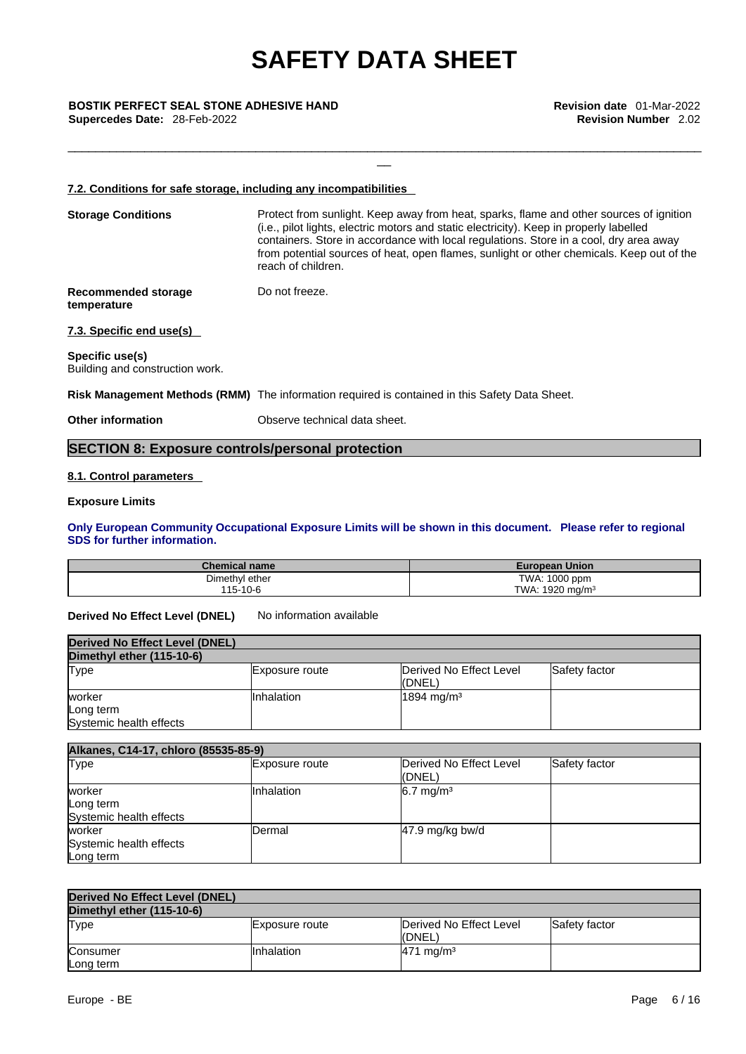\_\_\_\_\_\_\_\_\_\_\_\_\_\_\_\_\_\_\_\_\_\_\_\_\_\_\_\_\_\_\_\_\_\_\_\_\_\_\_\_\_\_\_\_\_\_\_\_\_\_\_\_\_\_\_\_\_\_\_\_\_\_\_\_\_\_\_\_\_\_\_\_\_\_\_\_\_\_\_\_\_\_\_\_\_\_\_\_\_\_\_

 $\frac{1}{2}$ 

#### **BOSTIK PERFECT SEAL STONE ADHESIVE HAND**<br>**Supercedes Date:** 28-Feb-2022<br>**Revision Number** 2.02 **Supercedes Date: 28-Feb-2022**

#### **7.2. Conditions for safe storage, including any incompatibilities**

| <b>Storage Conditions</b>                          | Protect from sunlight. Keep away from heat, sparks, flame and other sources of ignition<br>(i.e., pilot lights, electric motors and static electricity). Keep in properly labelled<br>containers. Store in accordance with local regulations. Store in a cool, dry area away<br>from potential sources of heat, open flames, sunlight or other chemicals. Keep out of the<br>reach of children. |
|----------------------------------------------------|-------------------------------------------------------------------------------------------------------------------------------------------------------------------------------------------------------------------------------------------------------------------------------------------------------------------------------------------------------------------------------------------------|
| Recommended storage<br>temperature                 | Do not freeze.                                                                                                                                                                                                                                                                                                                                                                                  |
| 7.3. Specific end use(s)                           |                                                                                                                                                                                                                                                                                                                                                                                                 |
| Specific use(s)<br>Building and construction work. |                                                                                                                                                                                                                                                                                                                                                                                                 |

**Risk Management Methods (RMM)** The information required is contained in this Safety Data Sheet.

**Other information C** Observe technical data sheet.

### **SECTION 8: Exposure controls/personal protection**

#### **8.1. Control parameters**

#### **Exposure Limits**

**Only European Community Occupational Exposure Limits will be shown in this document. Please refer to regional SDS for further information.** 

| <b>Chemical name</b> | <b>European Union</b>    |
|----------------------|--------------------------|
| Dimethyl ether       | TWA: 1000 ppm            |
| 115-10-6             | . 1920 ma/m $^3$<br>TWA: |

**Derived No Effect Level (DNEL)** No information available

| Derived No Effect Level (DNEL) |                |                         |               |
|--------------------------------|----------------|-------------------------|---------------|
| Dimethyl ether (115-10-6)      |                |                         |               |
| <b>Type</b>                    | Exposure route | Derived No Effect Level | Safety factor |
|                                |                | ((DNEL)                 |               |
| worker                         | IInhalation    | $1894 \text{ mg/m}^3$   |               |
| Long term                      |                |                         |               |
| Systemic health effects        |                |                         |               |

| Alkanes, C14-17, chloro (85535-85-9)           |                |                                   |               |
|------------------------------------------------|----------------|-----------------------------------|---------------|
| Type                                           | Exposure route | Derived No Effect Level<br>(DNEL) | Safety factor |
| worker<br>Long term<br>Systemic health effects | Inhalation     | $6.7 \text{ mg/m}^3$              |               |
| worker<br>Systemic health effects<br>Long term | Dermal         | $47.9$ mg/kg bw/d                 |               |

| Derived No Effect Level (DNEL) |                |                                   |               |
|--------------------------------|----------------|-----------------------------------|---------------|
| Dimethyl ether (115-10-6)      |                |                                   |               |
| Type                           | Exposure route | Derived No Effect Level<br>(DNEL) | Safety factor |
| Consumer<br>Long term          | Inhalation     | $471 \text{ mg/m}^3$              |               |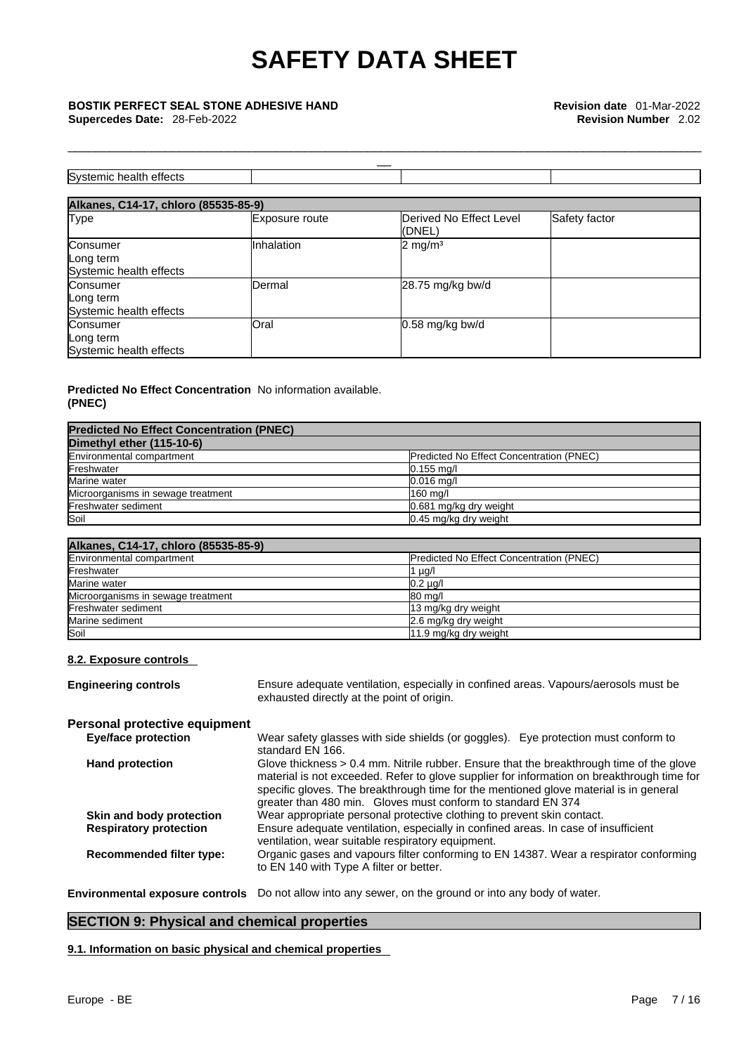#### **BOSTIK PERFECT SEAL STONE ADHESIVE HAND**<br>**Supercedes Date:** 28-Feb-2022<br>**Revision Number** 2.02 **Supercedes Date: 28-Feb-2022**

| Systemic health effects                          |                |                                   |               |
|--------------------------------------------------|----------------|-----------------------------------|---------------|
| Alkanes, C14-17, chloro (85535-85-9)             |                |                                   |               |
| <b>Type</b>                                      | Exposure route | Derived No Effect Level<br>(DNEL) | Safety factor |
| Consumer<br>Long term<br>Systemic health effects | Inhalation     | $2 \text{ mg/m}^3$                |               |
| Consumer<br>Long term<br>Systemic health effects | <b>Dermal</b>  | 28.75 mg/kg bw/d                  |               |

Oral 0.58 mg/kg bw/d

\_\_\_\_\_\_\_\_\_\_\_\_\_\_\_\_\_\_\_\_\_\_\_\_\_\_\_\_\_\_\_\_\_\_\_\_\_\_\_\_\_\_\_\_\_\_\_\_\_\_\_\_\_\_\_\_\_\_\_\_\_\_\_\_\_\_\_\_\_\_\_\_\_\_\_\_\_\_\_\_\_\_\_\_\_\_\_\_\_\_\_

 $\frac{1}{2}$ 

#### **Predicted No Effect Concentration**  No information available. **(PNEC)**

| <b>Predicted No Effect Concentration (PNEC)</b> |                                                 |
|-------------------------------------------------|-------------------------------------------------|
| Dimethyl ether (115-10-6)                       |                                                 |
| Environmental compartment                       | <b>Predicted No Effect Concentration (PNEC)</b> |
| Freshwater                                      | $0.155$ mg/l                                    |
| Marine water                                    | $0.016$ mg/l                                    |
| Microorganisms in sewage treatment              | 160 mg/l                                        |
| Freshwater sediment                             | 0.681 mg/kg dry weight                          |
| Soil                                            | 0.45 mg/kg dry weight                           |

| Alkanes, C14-17, chloro (85535-85-9) |                                                 |
|--------------------------------------|-------------------------------------------------|
| Environmental compartment            | <b>Predicted No Effect Concentration (PNEC)</b> |
| Freshwater                           | 1 $\mu$ g/l                                     |
| Marine water                         | $0.2 \mu g/l$                                   |
| Microorganisms in sewage treatment   | 80 mg/l                                         |
| Freshwater sediment                  | 13 mg/kg dry weight                             |
| Marine sediment                      | 2.6 mg/kg dry weight                            |
| Soil                                 | 11.9 mg/kg dry weight                           |

#### **8.2. Exposure controls**

Consumer Long term

Systemic health effects

| <b>Engineering controls</b>          | Ensure adequate ventilation, especially in confined areas. Vapours/aerosols must be<br>exhausted directly at the point of origin.                                                                                                                                                                                                                 |
|--------------------------------------|---------------------------------------------------------------------------------------------------------------------------------------------------------------------------------------------------------------------------------------------------------------------------------------------------------------------------------------------------|
| <b>Personal protective equipment</b> |                                                                                                                                                                                                                                                                                                                                                   |
| <b>Eye/face protection</b>           | Wear safety glasses with side shields (or goggles). Eye protection must conform to<br>standard EN 166.                                                                                                                                                                                                                                            |
| <b>Hand protection</b>               | Glove thickness $> 0.4$ mm. Nitrile rubber. Ensure that the breakthrough time of the glove<br>material is not exceeded. Refer to glove supplier for information on breakthrough time for<br>specific gloves. The breakthrough time for the mentioned glove material is in general<br>greater than 480 min. Gloves must conform to standard EN 374 |
| Skin and body protection             | Wear appropriate personal protective clothing to prevent skin contact.                                                                                                                                                                                                                                                                            |
| <b>Respiratory protection</b>        | Ensure adequate ventilation, especially in confined areas. In case of insufficient<br>ventilation, wear suitable respiratory equipment.                                                                                                                                                                                                           |
| <b>Recommended filter type:</b>      | Organic gases and vapours filter conforming to EN 14387. Wear a respirator conforming<br>to EN 140 with Type A filter or better.                                                                                                                                                                                                                  |
|                                      | Environmental exposure controls Do not allow into any sewer, on the ground or into any body of water.                                                                                                                                                                                                                                             |

### **SECTION 9: Physical and chemical properties**

**9.1. Information on basic physical and chemical properties**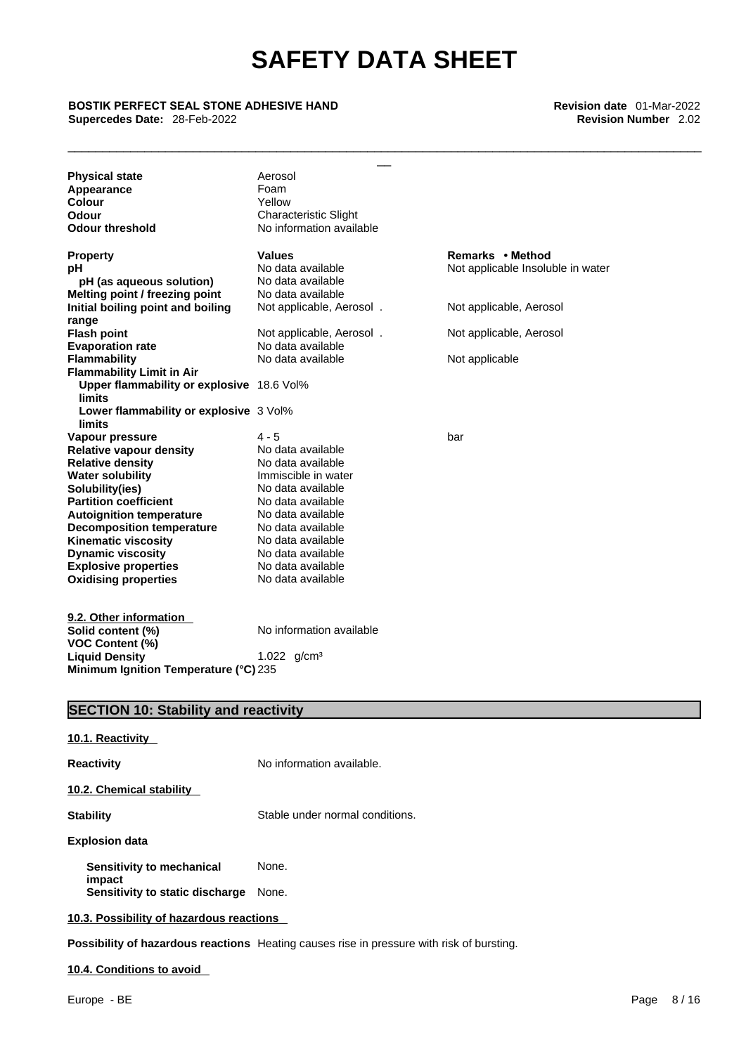\_\_\_\_\_\_\_\_\_\_\_\_\_\_\_\_\_\_\_\_\_\_\_\_\_\_\_\_\_\_\_\_\_\_\_\_\_\_\_\_\_\_\_\_\_\_\_\_\_\_\_\_\_\_\_\_\_\_\_\_\_\_\_\_\_\_\_\_\_\_\_\_\_\_\_\_\_\_\_\_\_\_\_\_\_\_\_\_\_\_\_

#### **BOSTIK PERFECT SEAL STONE ADHESIVE HAND Revision date** 01-Mar-2022 **Supercedes Date: 28-Feb-2022**

| <b>Physical state</b>                     | Aerosol                      |                                   |
|-------------------------------------------|------------------------------|-----------------------------------|
| Appearance                                | Foam                         |                                   |
| Colour                                    | Yellow                       |                                   |
| Odour                                     | <b>Characteristic Slight</b> |                                   |
| <b>Odour threshold</b>                    | No information available     |                                   |
| <b>Property</b>                           | <b>Values</b>                | Remarks • Method                  |
| рH                                        | No data available            | Not applicable Insoluble in water |
| pH (as aqueous solution)                  | No data available            |                                   |
| Melting point / freezing point            | No data available            |                                   |
| Initial boiling point and boiling         | Not applicable, Aerosol.     | Not applicable, Aerosol           |
| range                                     |                              |                                   |
| <b>Flash point</b>                        | Not applicable, Aerosol.     | Not applicable, Aerosol           |
| <b>Evaporation rate</b>                   | No data available            |                                   |
| <b>Flammability</b>                       | No data available            | Not applicable                    |
| <b>Flammability Limit in Air</b>          |                              |                                   |
| Upper flammability or explosive 18.6 Vol% |                              |                                   |
| limits                                    |                              |                                   |
| Lower flammability or explosive 3 Vol%    |                              |                                   |
| <b>limits</b>                             |                              |                                   |
| Vapour pressure                           | 4 - 5                        | bar                               |
| <b>Relative vapour density</b>            | No data available            |                                   |
| <b>Relative density</b>                   | No data available            |                                   |
| <b>Water solubility</b>                   | Immiscible in water          |                                   |
| Solubility(ies)                           | No data available            |                                   |
| <b>Partition coefficient</b>              | No data available            |                                   |
| <b>Autoignition temperature</b>           | No data available            |                                   |
| <b>Decomposition temperature</b>          | No data available            |                                   |
| <b>Kinematic viscosity</b>                | No data available            |                                   |
| <b>Dynamic viscosity</b>                  | No data available            |                                   |
| <b>Explosive properties</b>               | No data available            |                                   |
| <b>Oxidising properties</b>               | No data available            |                                   |
|                                           |                              |                                   |
| 9.2. Other information                    |                              |                                   |
| Solid content (%)                         | No information available     |                                   |
| <b>VOC Content (%)</b>                    |                              |                                   |
| <b>Liquid Density</b>                     |                              |                                   |
| Minimum Ignition Temperature (°C) 235     | 1.022 $q/cm^3$               |                                   |

### **SECTION 10: Stability and reactivity**

| No information available.                |
|------------------------------------------|
|                                          |
| Stable under normal conditions.          |
|                                          |
| None.                                    |
| None.                                    |
| 10.3. Possibility of hazardous reactions |
|                                          |

**Possibility of hazardous reactions** Heating causes rise in pressure with risk of bursting.

**10.4. Conditions to avoid**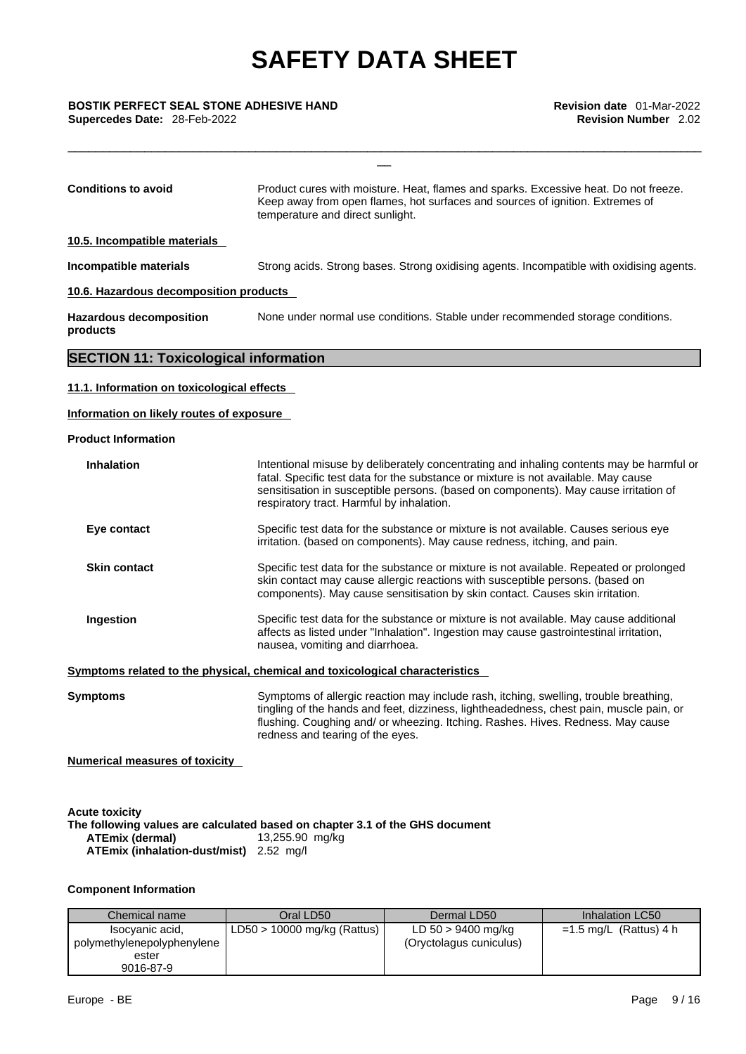\_\_\_\_\_\_\_\_\_\_\_\_\_\_\_\_\_\_\_\_\_\_\_\_\_\_\_\_\_\_\_\_\_\_\_\_\_\_\_\_\_\_\_\_\_\_\_\_\_\_\_\_\_\_\_\_\_\_\_\_\_\_\_\_\_\_\_\_\_\_\_\_\_\_\_\_\_\_\_\_\_\_\_\_\_\_\_\_\_\_\_

 $\frac{1}{2}$ 

**BOSTIK PERFECT SEAL STONE ADHESIVE HAND**<br>**Supercedes Date:** 28-Feb-2022<br>**Revision Number** 2.02 **Supercedes Date: 28-Feb-2022** 

| <b>Conditions to avoid</b>                                                                                           | Product cures with moisture. Heat, flames and sparks. Excessive heat. Do not freeze.<br>Keep away from open flames, hot surfaces and sources of ignition. Extremes of<br>temperature and direct sunlight.                                                                                                           |
|----------------------------------------------------------------------------------------------------------------------|---------------------------------------------------------------------------------------------------------------------------------------------------------------------------------------------------------------------------------------------------------------------------------------------------------------------|
| 10.5. Incompatible materials                                                                                         |                                                                                                                                                                                                                                                                                                                     |
| Incompatible materials                                                                                               | Strong acids. Strong bases. Strong oxidising agents. Incompatible with oxidising agents.                                                                                                                                                                                                                            |
| 10.6. Hazardous decomposition products                                                                               |                                                                                                                                                                                                                                                                                                                     |
| <b>Hazardous decomposition</b><br>products                                                                           | None under normal use conditions. Stable under recommended storage conditions.                                                                                                                                                                                                                                      |
| <b>SECTION 11: Toxicological information</b>                                                                         |                                                                                                                                                                                                                                                                                                                     |
| 11.1. Information on toxicological effects<br>Information on likely routes of exposure<br><b>Product Information</b> |                                                                                                                                                                                                                                                                                                                     |
| <b>Inhalation</b>                                                                                                    | Intentional misuse by deliberately concentrating and inhaling contents may be harmful or<br>fatal. Specific test data for the substance or mixture is not available. May cause<br>sensitisation in susceptible persons. (based on components). May cause irritation of<br>respiratory tract. Harmful by inhalation. |
| Eye contact                                                                                                          | Specific test data for the substance or mixture is not available. Causes serious eye<br>irritation. (based on components). May cause redness, itching, and pain.                                                                                                                                                    |
| <b>Skin contact</b>                                                                                                  | Specific test data for the substance or mixture is not available. Repeated or prolonged<br>skin contact may cause allergic reactions with susceptible persons. (based on<br>components). May cause sensitisation by skin contact. Causes skin irritation.                                                           |
| Ingestion                                                                                                            | Specific test data for the substance or mixture is not available. May cause additional<br>affects as listed under "Inhalation". Ingestion may cause gastrointestinal irritation,<br>nausea, vomiting and diarrhoea.                                                                                                 |
|                                                                                                                      | Symptoms related to the physical, chemical and toxicological characteristics                                                                                                                                                                                                                                        |
|                                                                                                                      |                                                                                                                                                                                                                                                                                                                     |

**Symptoms** Symptoms of allergic reaction may include rash, itching, swelling, trouble breathing, tingling of the hands and feet, dizziness, lightheadedness, chest pain, muscle pain, or flushing. Coughing and/ or wheezing. Itching. Rashes. Hives. Redness. May cause redness and tearing of the eyes.

**Numerical measures of toxicity** 

| <b>Acute toxicity</b><br>The following values are calculated based on chapter 3.1 of the GHS document |                 |  |
|-------------------------------------------------------------------------------------------------------|-----------------|--|
| <b>ATEmix (dermal)</b>                                                                                | 13,255.90 mg/kg |  |
| <b>ATEmix (inhalation-dust/mist)</b> 2.52 mg/l                                                        |                 |  |

#### **Component Information**

| Chemical name              | Oral LD50                     | Dermal LD50             | Inhalation LC50          |
|----------------------------|-------------------------------|-------------------------|--------------------------|
| Isocyanic acid,            | $LD50 > 10000$ mg/kg (Rattus) | LD 50 > 9400 mg/kg      | $=1.5$ mg/L (Rattus) 4 h |
| polymethylenepolyphenylene |                               | (Oryctolagus cuniculus) |                          |
| ester                      |                               |                         |                          |
| 9016-87-9                  |                               |                         |                          |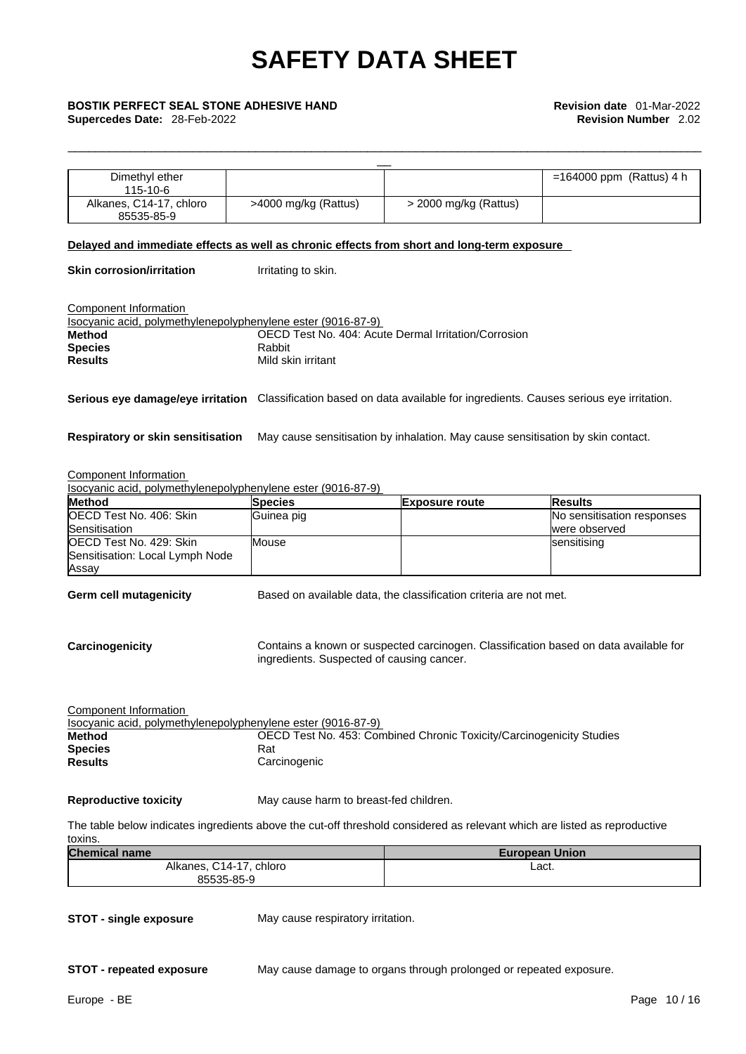\_\_\_\_\_\_\_\_\_\_\_\_\_\_\_\_\_\_\_\_\_\_\_\_\_\_\_\_\_\_\_\_\_\_\_\_\_\_\_\_\_\_\_\_\_\_\_\_\_\_\_\_\_\_\_\_\_\_\_\_\_\_\_\_\_\_\_\_\_\_\_\_\_\_\_\_\_\_\_\_\_\_\_\_\_\_\_\_\_\_\_

### **BOSTIK PERFECT SEAL STONE ADHESIVE HAND**<br>**Supercedes Date:** 28-Feb-2022<br>**Revision Number** 2.02

| <b>BOSTIK PERFECT SEAL STONE ADHESIVE HAND</b>                                                                                           |                                           |                                                                                 | <b>Revision date</b> 01-Mar-2022                                                     |
|------------------------------------------------------------------------------------------------------------------------------------------|-------------------------------------------|---------------------------------------------------------------------------------|--------------------------------------------------------------------------------------|
| Supercedes Date: 28-Feb-2022                                                                                                             |                                           |                                                                                 | <b>Revision Number 2.02</b>                                                          |
|                                                                                                                                          |                                           |                                                                                 |                                                                                      |
| Dimethyl ether<br>115-10-6                                                                                                               |                                           |                                                                                 | $=164000$ ppm (Rattus) 4 h                                                           |
| Alkanes, C14-17, chloro<br>85535-85-9                                                                                                    | >4000 mg/kg (Rattus)                      | > 2000 mg/kg (Rattus)                                                           |                                                                                      |
| Delayed and immediate effects as well as chronic effects from short and long-term exposure                                               |                                           |                                                                                 |                                                                                      |
| <b>Skin corrosion/irritation</b>                                                                                                         | Irritating to skin.                       |                                                                                 |                                                                                      |
| Component Information<br>Isocyanic acid, polymethylenepolyphenylene ester (9016-87-9)                                                    |                                           |                                                                                 |                                                                                      |
| <b>Method</b>                                                                                                                            |                                           | OECD Test No. 404: Acute Dermal Irritation/Corrosion                            |                                                                                      |
| <b>Species</b>                                                                                                                           | Rabbit                                    |                                                                                 |                                                                                      |
| <b>Results</b>                                                                                                                           | Mild skin irritant                        |                                                                                 |                                                                                      |
| Serious eye damage/eye irritation Classification based on data available for ingredients. Causes serious eye irritation.                 |                                           |                                                                                 |                                                                                      |
|                                                                                                                                          |                                           |                                                                                 |                                                                                      |
| Respiratory or skin sensitisation                                                                                                        |                                           | May cause sensitisation by inhalation. May cause sensitisation by skin contact. |                                                                                      |
|                                                                                                                                          |                                           |                                                                                 |                                                                                      |
|                                                                                                                                          |                                           |                                                                                 |                                                                                      |
|                                                                                                                                          | <b>Species</b>                            | <b>Exposure route</b>                                                           | <b>Results</b>                                                                       |
| <b>Component Information</b><br>Isocyanic acid, polymethylenepolyphenylene ester (9016-87-9)<br><b>Method</b><br>OECD Test No. 406: Skin | Guinea pig                                |                                                                                 | No sensitisation responses                                                           |
| Sensitisation<br>OECD Test No. 429: Skin                                                                                                 | Mouse                                     |                                                                                 | were observed<br>sensitising                                                         |
| Sensitisation: Local Lymph Node<br>Assay                                                                                                 |                                           |                                                                                 |                                                                                      |
| <b>Germ cell mutagenicity</b>                                                                                                            |                                           | Based on available data, the classification criteria are not met.               |                                                                                      |
|                                                                                                                                          |                                           |                                                                                 |                                                                                      |
| Carcinogenicity                                                                                                                          | ingredients. Suspected of causing cancer. |                                                                                 | Contains a known or suspected carcinogen. Classification based on data available for |
|                                                                                                                                          |                                           |                                                                                 |                                                                                      |
| Component Information<br>Isocyanic acid, polymethylenepolyphenylene ester (9016-87-9)                                                    |                                           |                                                                                 |                                                                                      |
|                                                                                                                                          |                                           | OECD Test No. 453: Combined Chronic Toxicity/Carcinogenicity Studies            |                                                                                      |
| <b>Method</b><br><b>Species</b>                                                                                                          | Rat                                       |                                                                                 |                                                                                      |
| <b>Results</b>                                                                                                                           | Carcinogenic                              |                                                                                 |                                                                                      |
| <b>Reproductive toxicity</b>                                                                                                             | May cause harm to breast-fed children.    |                                                                                 |                                                                                      |
| The table below indicates ingredients above the cut-off threshold considered as relevant which are listed as reproductive<br>toxins.     |                                           |                                                                                 |                                                                                      |
| <b>Chemical name</b><br>Alkanes, C14-17, chloro                                                                                          |                                           |                                                                                 | <b>European Union</b><br>Lact.                                                       |

**STOT - single exposure** May cause respiratory irritation.

**STOT - repeated exposure** May cause damage to organs through prolonged or repeated exposure.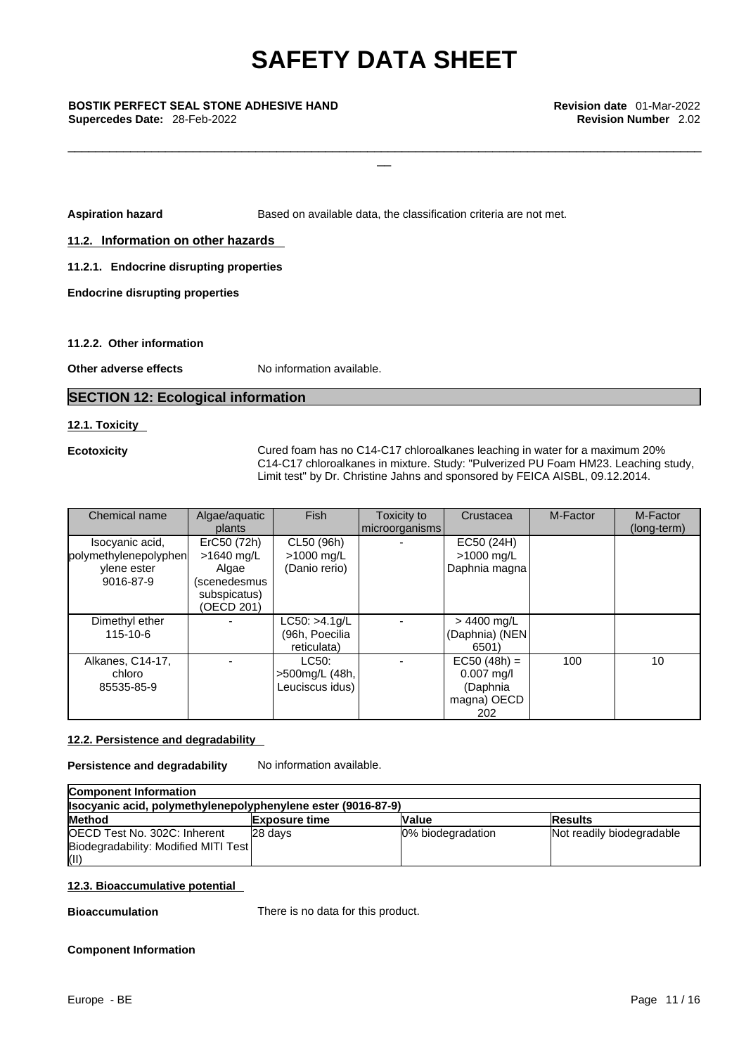#### **BOSTIK PERFECT SEAL STONE ADHESIVE HAND Revision date** 01-Mar-2022 **Supercedes Date: 28-Feb-2022**

**Aspiration hazard <b>Based** on available data, the classification criteria are not met.

 $\frac{1}{2}$ 

\_\_\_\_\_\_\_\_\_\_\_\_\_\_\_\_\_\_\_\_\_\_\_\_\_\_\_\_\_\_\_\_\_\_\_\_\_\_\_\_\_\_\_\_\_\_\_\_\_\_\_\_\_\_\_\_\_\_\_\_\_\_\_\_\_\_\_\_\_\_\_\_\_\_\_\_\_\_\_\_\_\_\_\_\_\_\_\_\_\_\_

**11.2. Information on other hazards** 

**11.2.1. Endocrine disrupting properties** 

**Endocrine disrupting properties** 

#### **11.2.2. Other information**

**Other adverse effects** No information available.

#### **SECTION 12: Ecological information**

#### **12.1. Toxicity**

| <b>Ecotoxicity</b>                                                   |                                                                                  |                                                 |                               | Cured foam has no C14-C17 chloroalkanes leaching in water for a maximum 20%<br>C14-C17 chloroalkanes in mixture. Study: "Pulverized PU Foam HM23. Leaching study,<br>Limit test" by Dr. Christine Jahns and sponsored by FEICA AISBL, 09.12.2014. |          |                         |
|----------------------------------------------------------------------|----------------------------------------------------------------------------------|-------------------------------------------------|-------------------------------|---------------------------------------------------------------------------------------------------------------------------------------------------------------------------------------------------------------------------------------------------|----------|-------------------------|
| Chemical name                                                        | Algae/aquatic<br>plants                                                          | <b>Fish</b>                                     | Toxicity to<br>microorganisms | Crustacea                                                                                                                                                                                                                                         | M-Factor | M-Factor<br>(long-term) |
| Isocyanic acid,<br>polymethylenepolyphen<br>ylene ester<br>9016-87-9 | ErC50 (72h)<br>>1640 mg/L<br>Algae<br>(scenedesmus<br>subspicatus)<br>(OECD 201) | CL50 (96h)<br>$>1000$ mg/L<br>(Danio rerio)     |                               | EC50 (24H)<br>>1000 mg/L<br>Daphnia magna                                                                                                                                                                                                         |          |                         |
| Dimethyl ether<br>115-10-6                                           |                                                                                  | LC50: >4.1 g/L<br>(96h, Poecilia<br>reticulata) |                               | $> 4400$ mg/L<br>(Daphnia) (NEN<br>6501)                                                                                                                                                                                                          |          |                         |
| Alkanes, C14-17,<br>chloro<br>85535-85-9                             |                                                                                  | LC50:<br>>500mg/L (48h,<br>Leuciscus idus)      |                               | $EC50 (48h) =$<br>$0.007$ mg/l<br>(Daphnia<br>magna) OECD<br>202                                                                                                                                                                                  | 100      | 10                      |

#### **12.2. Persistence and degradability**

**Persistence and degradability** No information available.

| <b>Component Information</b>                                 |                      |                   |                           |  |
|--------------------------------------------------------------|----------------------|-------------------|---------------------------|--|
| Isocyanic acid, polymethylenepolyphenylene ester (9016-87-9) |                      |                   |                           |  |
| <b>Method</b>                                                | <b>Exposure time</b> | <b>Value</b>      | <b>Results</b>            |  |
| OECD Test No. 302C: Inherent                                 | 28 days              | 0% biodegradation | Not readily biodegradable |  |
| Biodegradability: Modified MITI Test                         |                      |                   |                           |  |
| (II)                                                         |                      |                   |                           |  |

#### **12.3. Bioaccumulative potential**

**Bioaccumulation** There is no data for this product.

#### **Component Information**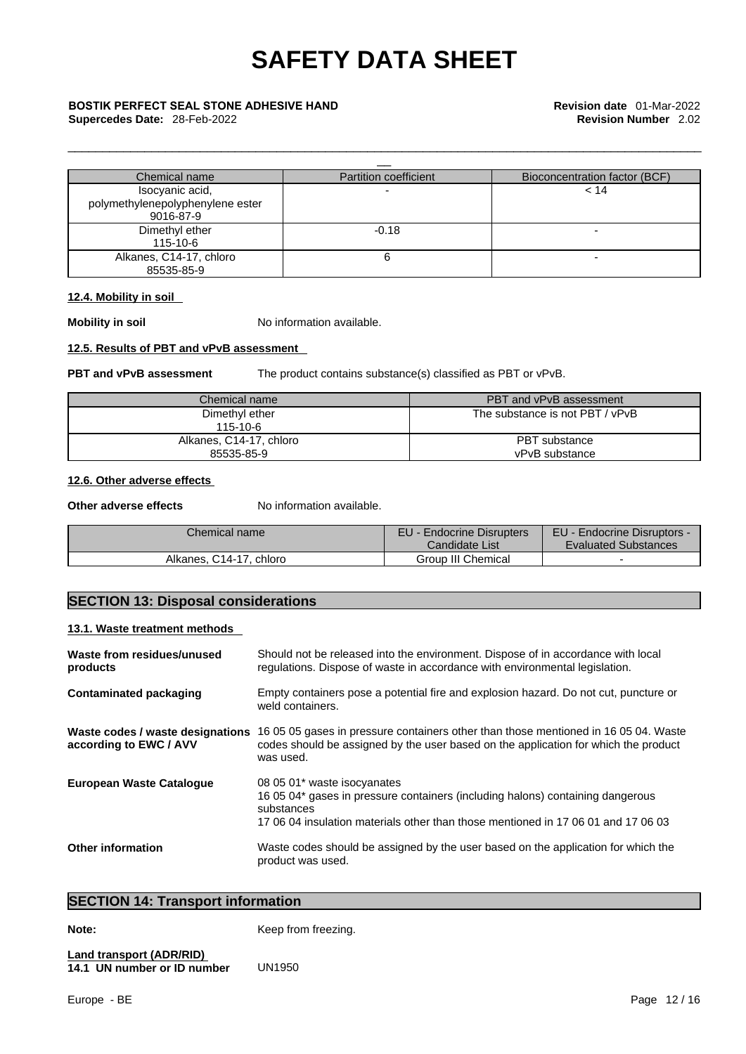### **BOSTIK PERFECT SEAL STONE ADHESIVE HAND Revision date** 01-Mar-2022

**Supercedes Date: 28-Feb-2022** 

| Chemical name                    | <b>Partition coefficient</b> | Bioconcentration factor (BCF) |
|----------------------------------|------------------------------|-------------------------------|
| Isocyanic acid,                  |                              | 14 >                          |
| polymethylenepolyphenylene ester |                              |                               |
| 9016-87-9                        |                              |                               |
| Dimethyl ether                   | $-0.18$                      |                               |
| 115-10-6                         |                              |                               |
| Alkanes, C14-17, chloro          |                              | -                             |
| 85535-85-9                       |                              |                               |

\_\_\_\_\_\_\_\_\_\_\_\_\_\_\_\_\_\_\_\_\_\_\_\_\_\_\_\_\_\_\_\_\_\_\_\_\_\_\_\_\_\_\_\_\_\_\_\_\_\_\_\_\_\_\_\_\_\_\_\_\_\_\_\_\_\_\_\_\_\_\_\_\_\_\_\_\_\_\_\_\_\_\_\_\_\_\_\_\_\_\_

#### **12.4. Mobility in soil**

**Mobility in soil Mobility in soil No information available.** 

#### **12.5. Results of PBT and vPvB assessment**

**PBT and vPvB assessment** The product contains substance(s) classified as PBT or vPvB.

| Chemical name           | <b>PBT and vPvB assessment</b>  |
|-------------------------|---------------------------------|
| Dimethyl ether          | The substance is not PBT / vPvB |
| $115 - 10 - 6$          |                                 |
| Alkanes, C14-17, chloro | PBT substance                   |
| 85535-85-9              | vPvB substance                  |

#### **12.6. Other adverse effects**

**Other adverse effects** No information available.

| Chemical name              | EU - Endocrine Disrupters<br>Candidate List | EU - Endocrine Disruptors -<br><b>Evaluated Substances</b> |
|----------------------------|---------------------------------------------|------------------------------------------------------------|
| Alkanes, C14-17.<br>chloro | Group III Chemical                          |                                                            |

### **SECTION 13: Disposal considerations**

#### **13.1. Waste treatment methods**

| Waste from residues/unused<br>products                     | Should not be released into the environment. Dispose of in accordance with local<br>regulations. Dispose of waste in accordance with environmental legislation.                                                  |
|------------------------------------------------------------|------------------------------------------------------------------------------------------------------------------------------------------------------------------------------------------------------------------|
| Contaminated packaging                                     | Empty containers pose a potential fire and explosion hazard. Do not cut, puncture or<br>weld containers.                                                                                                         |
| Waste codes / waste designations<br>according to EWC / AVV | 16 05 05 gases in pressure containers other than those mentioned in 16 05 04. Waste<br>codes should be assigned by the user based on the application for which the product<br>was used.                          |
| <b>European Waste Catalogue</b>                            | 08 05 01* waste isocyanates<br>16 05 04* gases in pressure containers (including halons) containing dangerous<br>substances<br>17,06,04 insulation materials other than those mentioned in 17,06,01 and 17,06,03 |
| <b>Other information</b>                                   | Waste codes should be assigned by the user based on the application for which the<br>product was used.                                                                                                           |

### **SECTION 14: Transport information**

**Note: Note: Keep from freezing.** 

#### **Land transport (ADR/RID) 14.1 UN number or ID number**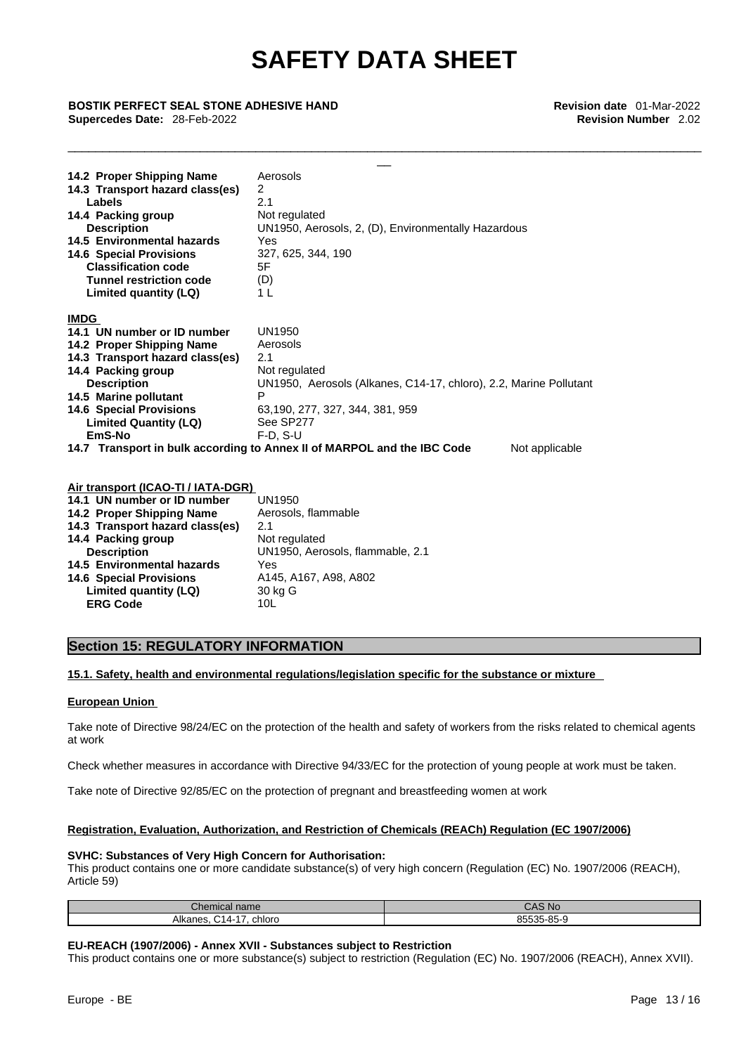\_\_\_\_\_\_\_\_\_\_\_\_\_\_\_\_\_\_\_\_\_\_\_\_\_\_\_\_\_\_\_\_\_\_\_\_\_\_\_\_\_\_\_\_\_\_\_\_\_\_\_\_\_\_\_\_\_\_\_\_\_\_\_\_\_\_\_\_\_\_\_\_\_\_\_\_\_\_\_\_\_\_\_\_\_\_\_\_\_\_\_

 $\frac{1}{2}$ 

#### **BOSTIK PERFECT SEAL STONE ADHESIVE HAND Revision date** 01-Mar-2022 **Supercedes Date: 28-Feb-2022**

| 14.2 Proper Shipping Name                 | Aerosols                                                                                  |
|-------------------------------------------|-------------------------------------------------------------------------------------------|
| 14.3 Transport hazard class(es)<br>Labels | 2<br>2.1                                                                                  |
| 14.4 Packing group                        | Not regulated                                                                             |
| <b>Description</b>                        | UN1950, Aerosols, 2, (D), Environmentally Hazardous                                       |
| 14.5 Environmental hazards                | Yes                                                                                       |
| <b>14.6 Special Provisions</b>            | 327, 625, 344, 190                                                                        |
| <b>Classification code</b>                | 5F                                                                                        |
| <b>Tunnel restriction code</b>            | (D)                                                                                       |
| Limited quantity (LQ)                     | 1 L                                                                                       |
| <b>IMDG</b>                               |                                                                                           |
| 14.1 UN number or ID number               | UN1950                                                                                    |
| 14.2 Proper Shipping Name                 | Aerosols                                                                                  |
| 14.3 Transport hazard class(es)           | 2.1                                                                                       |
| 14.4 Packing group                        | Not regulated                                                                             |
| <b>Description</b>                        | UN1950, Aerosols (Alkanes, C14-17, chloro), 2.2, Marine Pollutant                         |
| 14.5 Marine pollutant                     | P                                                                                         |
| <b>14.6 Special Provisions</b>            | 63,190, 277, 327, 344, 381, 959                                                           |
| <b>Limited Quantity (LQ)</b>              | See SP277                                                                                 |
| EmS-No                                    | $F-D$ , $S-U$                                                                             |
|                                           | 14.7 Transport in bulk according to Annex II of MARPOL and the IBC Code<br>Not applicable |
|                                           |                                                                                           |
| Air transport (ICAO-TI / IATA-DGR)        |                                                                                           |
| 14.1 UN number or ID number               | UN1950                                                                                    |
| 14.2 Proper Shipping Name                 | Aerosols, flammable                                                                       |
| $14.2$ Transport because elegation        | າ 1                                                                                       |

| 14.2 Proper Shipping Name       | Aerosols, flammable              |
|---------------------------------|----------------------------------|
| 14.3 Transport hazard class(es) | 21                               |
| 14.4 Packing group              | Not regulated                    |
| <b>Description</b>              | UN1950, Aerosols, flammable, 2.1 |
| 14.5 Environmental hazards      | Yes                              |
| <b>14.6 Special Provisions</b>  | A145, A167, A98, A802            |
| Limited quantity (LQ)           | 30 kg G                          |
| <b>ERG Code</b>                 | 10L                              |
|                                 |                                  |

#### **Section 15: REGULATORY INFORMATION**

#### **15.1. Safety, health and environmental regulations/legislation specific for the substance or mixture**

#### **European Union**

Take note of Directive 98/24/EC on the protection of the health and safety of workers from the risks related to chemical agents at work

Check whether measures in accordance with Directive 94/33/EC for the protection of young people at work must be taken.

Take note of Directive 92/85/EC on the protection of pregnant and breastfeeding women at work

#### **Registration, Evaluation, Authorization, and Restriction of Chemicals (REACh) Regulation (EC 1907/2006)**

#### **SVHC: Substances of Very High Concern for Authorisation:**

This product contains one or more candidate substance(s) of very high concern (Regulation (EC) No. 1907/2006 (REACH), Article 59)

| $\mathsf{L}$ hemical name                       | CAS No     |
|-------------------------------------------------|------------|
| Alkanes.<br>∼.<br>chloro<br>$\overline{ }$<br>ີ | 85535-85-9 |

#### **EU-REACH (1907/2006) - Annex XVII - Substances subject to Restriction**

This product contains one or more substance(s) subject to restriction (Regulation (EC) No. 1907/2006 (REACH), Annex XVII).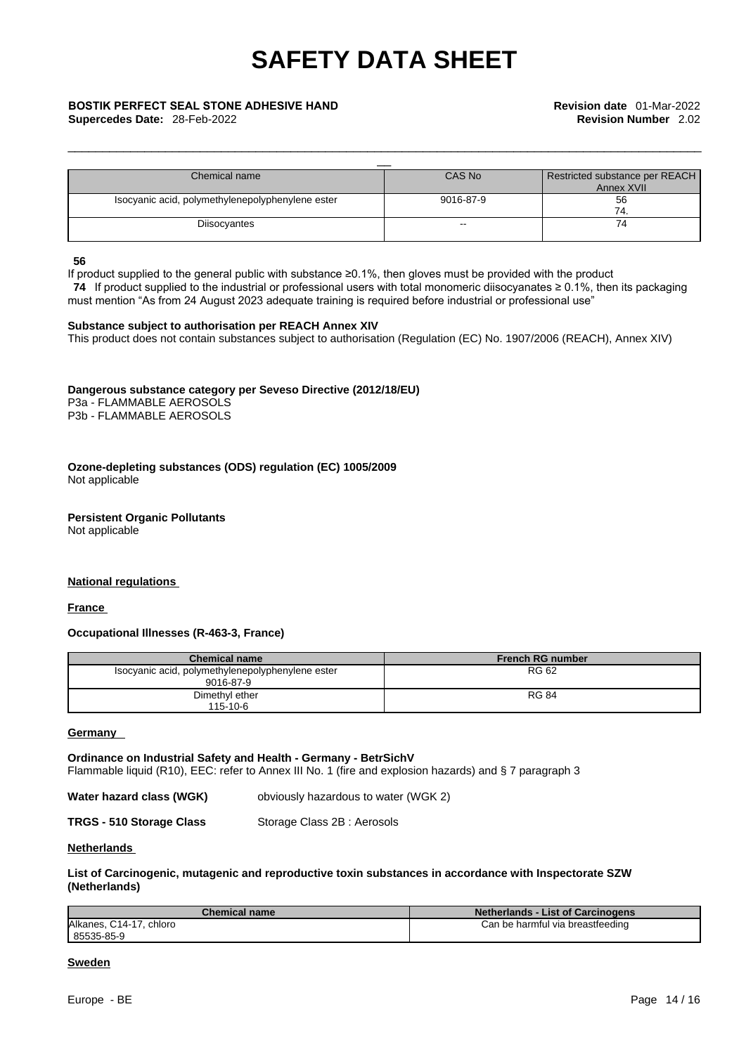### **BOSTIK PERFECT SEAL STONE ADHESIVE HAND Revision date** 01-Mar-2022

**Supercedes Date: 28-Feb-2022** 

| Chemical name                                    | CAS No        | Restricted substance per REACH |
|--------------------------------------------------|---------------|--------------------------------|
|                                                  |               | Annex XVII                     |
| Isocyanic acid, polymethylenepolyphenylene ester | 9016-87-9     | 56                             |
|                                                  |               | 74                             |
| Diisocyantes                                     | $\sim$ $\sim$ | 74                             |
|                                                  |               |                                |

\_\_\_\_\_\_\_\_\_\_\_\_\_\_\_\_\_\_\_\_\_\_\_\_\_\_\_\_\_\_\_\_\_\_\_\_\_\_\_\_\_\_\_\_\_\_\_\_\_\_\_\_\_\_\_\_\_\_\_\_\_\_\_\_\_\_\_\_\_\_\_\_\_\_\_\_\_\_\_\_\_\_\_\_\_\_\_\_\_\_\_

#### **56**

If product supplied to the general public with substance ≥0.1%, then gloves must be provided with the product

 **74** If product supplied to the industrial or professional users with total monomeric diisocyanates ≥ 0.1%, then its packaging must mention "As from 24 August 2023 adequate training is required before industrial or professional use"

#### **Substance subject to authorisation per REACH Annex XIV**

This product does not contain substances subject to authorisation (Regulation (EC) No. 1907/2006 (REACH), Annex XIV)

#### **Dangerous substance category per Seveso Directive (2012/18/EU)**

P3a - FLAMMABLE AEROSOLS P3b - FLAMMABLE AEROSOLS

#### **Ozone-depleting substances (ODS) regulation (EC) 1005/2009** Not applicable

### **Persistent Organic Pollutants**

Not applicable

#### **National regulations**

**France** 

#### **Occupational Illnesses (R-463-3, France)**

| <b>Chemical name</b>                                          | <b>French RG number</b> |
|---------------------------------------------------------------|-------------------------|
| Isocyanic acid, polymethylenepolyphenylene ester<br>9016-87-9 | RG 62                   |
| Dimethyl ether<br>$115 - 10 - 6$                              | <b>RG 84</b>            |

#### **Germany**

**Ordinance on Industrial Safety and Health - Germany - BetrSichV** Flammable liquid (R10), EEC: refer to Annex III No. 1 (fire and explosion hazards) and § 7 paragraph 3

| Water hazard class (WGK) | obviously hazardous to water (WGK 2) |
|--------------------------|--------------------------------------|
|                          |                                      |

**TRGS - 510 Storage Class** Storage Class 2B : Aerosols

#### **Netherlands**

#### **List of Carcinogenic, mutagenic and reproductive toxin substances in accordance with Inspectorate SZW (Netherlands)**

| <b>Chemical name</b>    | <b>Netherlands - List of Carcinogens</b> |
|-------------------------|------------------------------------------|
| Alkanes, C14-17, chloro | Can be harmful via breastfeeding         |
| 85535-85-9              |                                          |

#### **Sweden**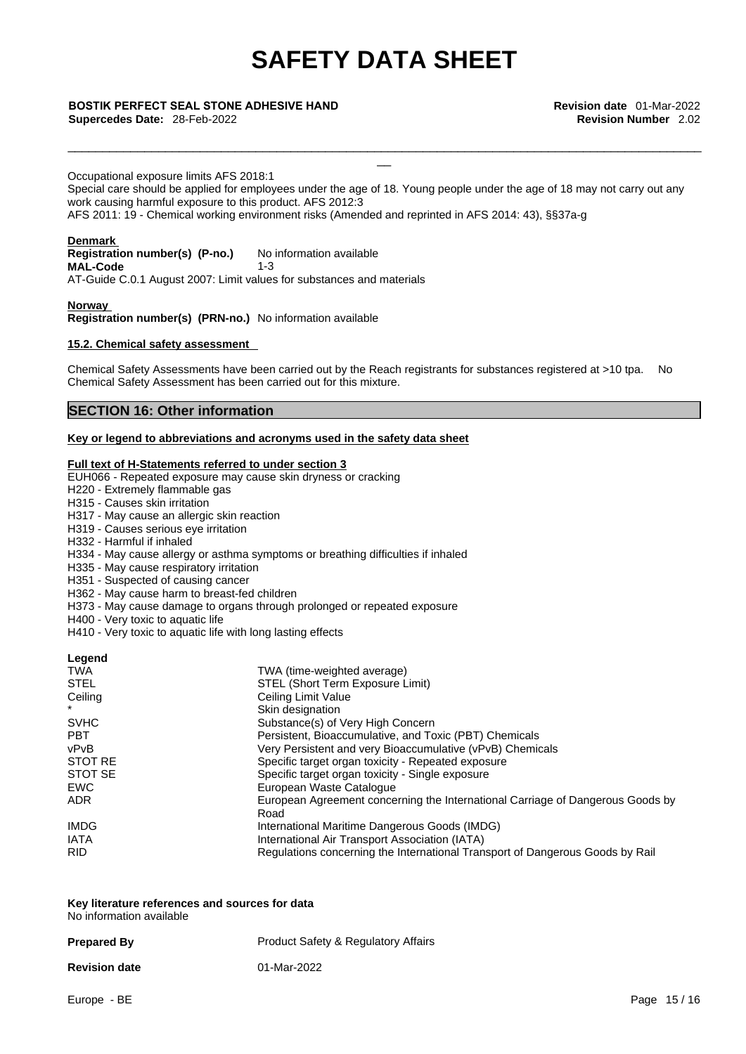### **BOSTIK PERFECT SEAL STONE ADHESIVE HAND Revision date** 01-Mar-2022

**Supercedes Date: 28-Feb-2022** 

Occupational exposure limits AFS 2018:1 Special care should be applied for employees under the age of 18. Young people under the age of 18 may not carry out any work causing harmful exposure to this product. AFS 2012:3 AFS 2011: 19 - Chemical working environment risks (Amended and reprinted in AFS 2014: 43), §§37a-g

\_\_\_\_\_\_\_\_\_\_\_\_\_\_\_\_\_\_\_\_\_\_\_\_\_\_\_\_\_\_\_\_\_\_\_\_\_\_\_\_\_\_\_\_\_\_\_\_\_\_\_\_\_\_\_\_\_\_\_\_\_\_\_\_\_\_\_\_\_\_\_\_\_\_\_\_\_\_\_\_\_\_\_\_\_\_\_\_\_\_\_

 $\frac{1}{2}$ 

#### **Denmark**

**Registration number(s) (P-no.)** No information available **MAL-Code** 1-3 AT-Guide C.0.1 August 2007: Limit values for substances and materials

**Norway** 

**Registration number(s) (PRN-no.)** No information available

#### **15.2. Chemical safety assessment**

Chemical Safety Assessments have been carried out by the Reach registrants for substances registered at >10 tpa. No Chemical Safety Assessment has been carried out for this mixture.

#### **SECTION 16: Other information**

#### **Key or legend to abbreviations and acronyms used in the safety data sheet**

#### **Full text of H-Statements referred to under section 3**

EUH066 - Repeated exposure may cause skin dryness or cracking

- H220 Extremely flammable gas
- H315 Causes skin irritation
- H317 May cause an allergic skin reaction
- H319 Causes serious eye irritation
- H332 Harmful if inhaled
- H334 May cause allergy or asthma symptoms or breathing difficulties if inhaled
- H335 May cause respiratory irritation
- H351 Suspected of causing cancer
- H362 May cause harm to breast-fed children
- H373 May cause damage to organs through prolonged or repeated exposure
- H400 Very toxic to aquatic life
- H410 Very toxic to aquatic life with long lasting effects

| Legend      |                                                                                |
|-------------|--------------------------------------------------------------------------------|
| <b>TWA</b>  | TWA (time-weighted average)                                                    |
| <b>STEL</b> | STEL (Short Term Exposure Limit)                                               |
| Ceiling     | Ceiling Limit Value                                                            |
|             | Skin designation                                                               |
| <b>SVHC</b> | Substance(s) of Very High Concern                                              |
| <b>PBT</b>  | Persistent, Bioaccumulative, and Toxic (PBT) Chemicals                         |
| vPvB        | Very Persistent and very Bioaccumulative (vPvB) Chemicals                      |
| STOT RE     | Specific target organ toxicity - Repeated exposure                             |
| STOT SE     | Specific target organ toxicity - Single exposure                               |
| <b>EWC</b>  | European Waste Catalogue                                                       |
| <b>ADR</b>  | European Agreement concerning the International Carriage of Dangerous Goods by |
|             | Road                                                                           |
| <b>IMDG</b> | International Maritime Dangerous Goods (IMDG)                                  |
| <b>IATA</b> | International Air Transport Association (IATA)                                 |
| <b>RID</b>  | Regulations concerning the International Transport of Dangerous Goods by Rail  |

**Key literature references and sources for data** No information available

| <b>Prepared By</b>   | <b>Product Safety &amp; Regulatory Affairs</b> |
|----------------------|------------------------------------------------|
| <b>Revision date</b> | 01-Mar-2022                                    |